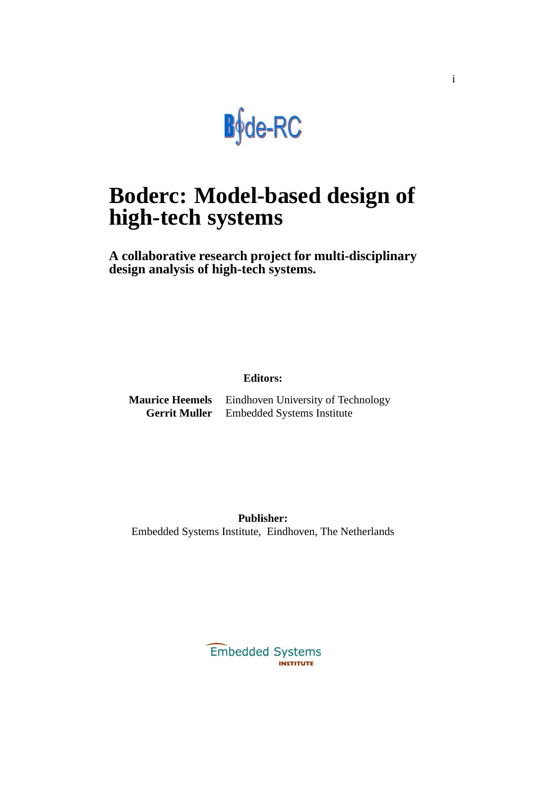

# **Boderc: Model-based design of high-tech systems**

**A collaborative research project for multi-disciplinary design analysis of high-tech systems.**

#### **Editors:**

**Maurice Heemels** Eindhoven University of Technology **Gerrit Muller** Embedded Systems Institute

**Publisher:** Embedded Systems Institute, Eindhoven, The Netherlands

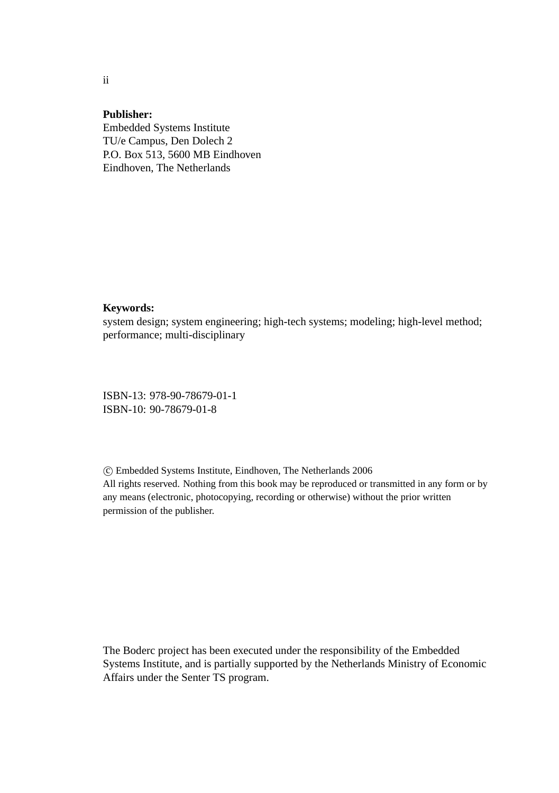#### **Publisher:**

Embedded Systems Institute TU/e Campus, Den Dolech 2 P.O. Box 513, 5600 MB Eindhoven Eindhoven, The Netherlands

#### **Keywords:**

system design; system engineering; high-tech systems; modeling; high-level method; performance; multi-disciplinary

ISBN-13: 978-90-78679-01-1 ISBN-10: 90-78679-01-8

 c Embedded Systems Institute, Eindhoven, The Netherlands 2006 All rights reserved. Nothing from this book may be reproduced or transmitted in any form or by any means (electronic, photocopying, recording or otherwise) without the prior written permission of the publisher.

The Boderc project has been executed under the responsibility of the Embedded Systems Institute, and is partially supported by the Netherlands Ministry of Economic Affairs under the Senter TS program.

ii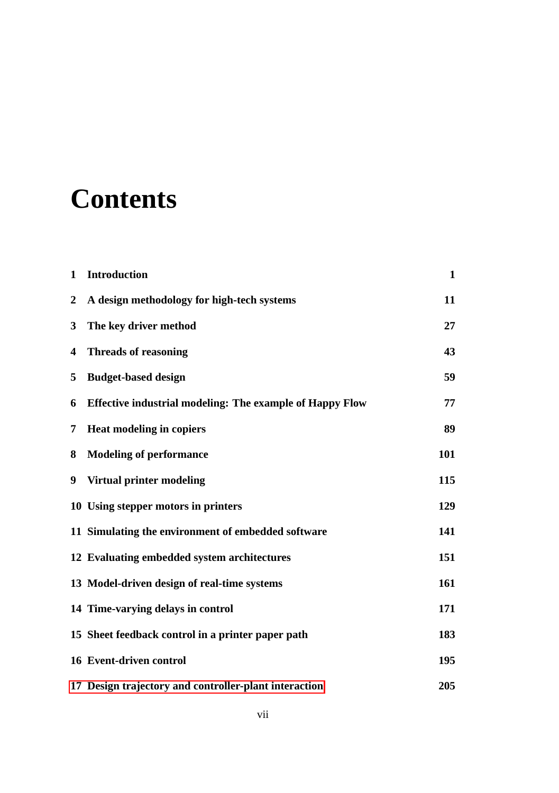# **Contents**

| 1            | <b>Introduction</b>                                             | $\mathbf{1}$ |
|--------------|-----------------------------------------------------------------|--------------|
| $\mathbf{2}$ | A design methodology for high-tech systems                      | 11           |
| 3            | The key driver method                                           | 27           |
| 4            | <b>Threads of reasoning</b>                                     | 43           |
| 5            | <b>Budget-based design</b>                                      | 59           |
| 6            | <b>Effective industrial modeling: The example of Happy Flow</b> | 77           |
| 7            | Heat modeling in copiers                                        | 89           |
| 8            | <b>Modeling of performance</b>                                  | 101          |
| 9            | Virtual printer modeling                                        | 115          |
|              | 10 Using stepper motors in printers                             | 129          |
|              | 11 Simulating the environment of embedded software              | 141          |
|              | 12 Evaluating embedded system architectures                     | 151          |
|              | 13 Model-driven design of real-time systems                     | 161          |
|              | 14 Time-varying delays in control                               | 171          |
|              | 15 Sheet feedback control in a printer paper path               | 183          |
|              | 16 Event-driven control                                         | 195          |
|              | 17 Design trajectory and controller-plant interaction           | 205          |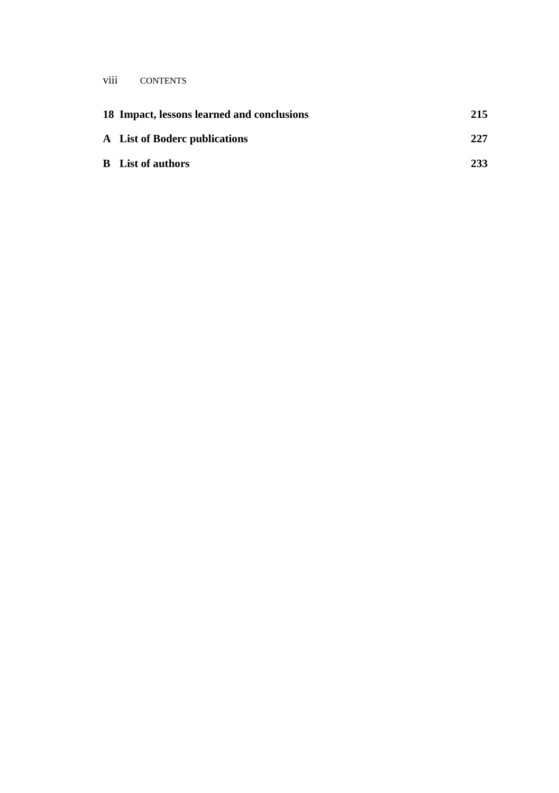#### viii CONTENTS

| 18 Impact, lessons learned and conclusions | 215 |
|--------------------------------------------|-----|
| A List of Boderc publications              | 227 |
| <b>B</b> List of authors                   | 233 |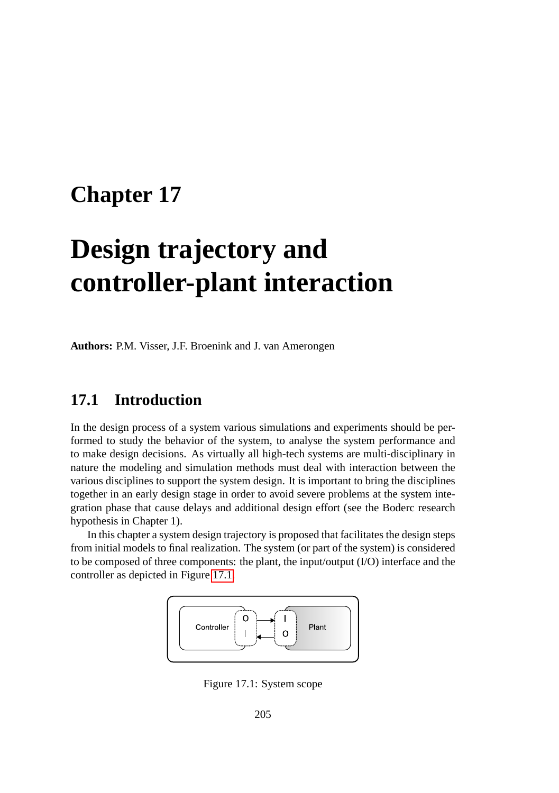# <span id="page-4-0"></span>**Chapter 17**

# **Design trajectory and controller-plant interaction**

**Authors:** P.M. Visser, J.F. Broenink and J. van Amerongen

### **17.1 Introduction**

In the design process of a system various simulations and experiments should be performed to study the behavior of the system, to analyse the system performance and to make design decisions. As virtually all high-tech systems are multi-disciplinary in nature the modeling and simulation methods must deal with interaction between the various disciplines to support the system design. It is important to bring the disciplines together in an early design stage in order to avoid severe problems at the system integration phase that cause delays and additional design effort (see the Boderc research hypothesis in Chapter 1).

In this chapter a system design trajectory is proposed that facilitates the design steps from initial models to final realization. The system (or part of the system) is considered to be composed of three components: the plant, the input/output (I/O) interface and the controller as depicted in Figure [17.1.](#page-4-1)



<span id="page-4-1"></span>Figure 17.1: System scope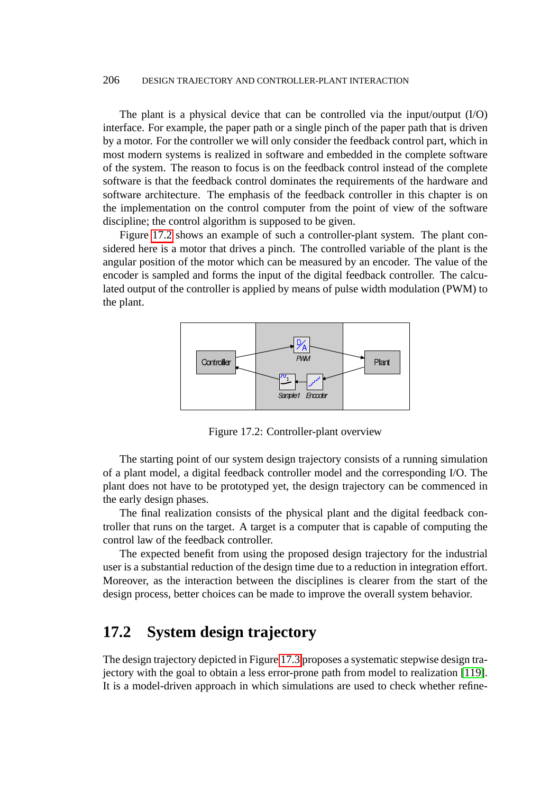The plant is a physical device that can be controlled via the input/output (I/O) interface. For example, the paper path or a single pinch of the paper path that is driven by a motor. For the controller we will only consider the feedback control part, which in most modern systems is realized in software and embedded in the complete software of the system. The reason to focus is on the feedback control instead of the complete software is that the feedback control dominates the requirements of the hardware and software architecture. The emphasis of the feedback controller in this chapter is on the implementation on the control computer from the point of view of the software discipline; the control algorithm is supposed to be given.

Figure [17.2](#page-5-0) shows an example of such a controller-plant system. The plant considered here is a motor that drives a pinch. The controlled variable of the plant is the angular position of the motor which can be measured by an encoder. The value of the encoder is sampled and forms the input of the digital feedback controller. The calculated output of the controller is applied by means of pulse width modulation (PWM) to the plant.



<span id="page-5-0"></span>Figure 17.2: Controller-plant overview

The starting point of our system design trajectory consists of a running simulation of a plant model, a digital feedback controller model and the corresponding I/O. The plant does not have to be prototyped yet, the design trajectory can be commenced in the early design phases.

The final realization consists of the physical plant and the digital feedback controller that runs on the target. A target is a computer that is capable of computing the control law of the feedback controller.

The expected benefit from using the proposed design trajectory for the industrial user is a substantial reduction of the design time due to a reduction in integration effort. Moreover, as the interaction between the disciplines is clearer from the start of the design process, better choices can be made to improve the overall system behavior.

## **17.2 System design trajectory**

The design trajectory depicted in Figure [17.3](#page-6-0) proposes a systematic stepwise design trajectory with the goal to obtain a less error-prone path from model to realization [\[119\]](#page-23-0). It is a model-driven approach in which simulations are used to check whether refine-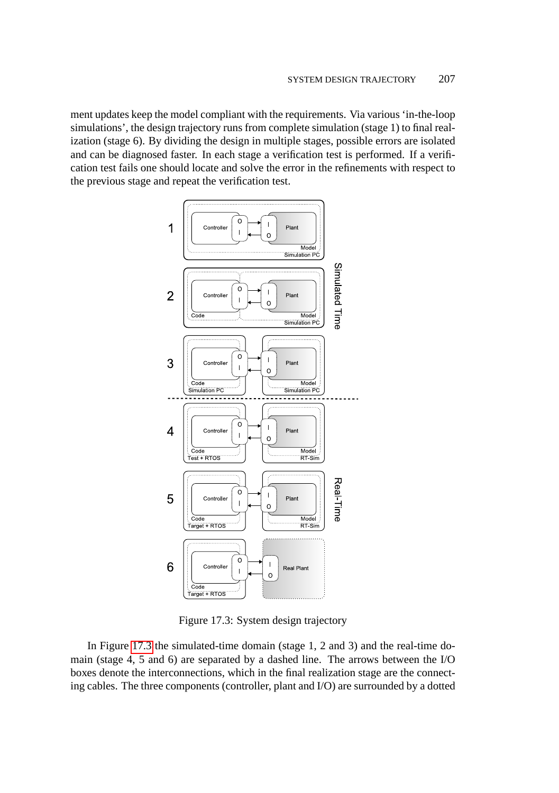ment updates keep the model compliant with the requirements. Via various 'in-the-loop simulations', the design trajectory runs from complete simulation (stage 1) to final realization (stage 6). By dividing the design in multiple stages, possible errors are isolated and can be diagnosed faster. In each stage a verification test is performed. If a verification test fails one should locate and solve the error in the refinements with respect to the previous stage and repeat the verification test.



<span id="page-6-0"></span>Figure 17.3: System design trajectory

In Figure [17.3](#page-6-0) the simulated-time domain (stage 1, 2 and 3) and the real-time domain (stage 4, 5 and 6) are separated by a dashed line. The arrows between the I/O boxes denote the interconnections, which in the final realization stage are the connecting cables. The three components (controller, plant and I/O) are surrounded by a dotted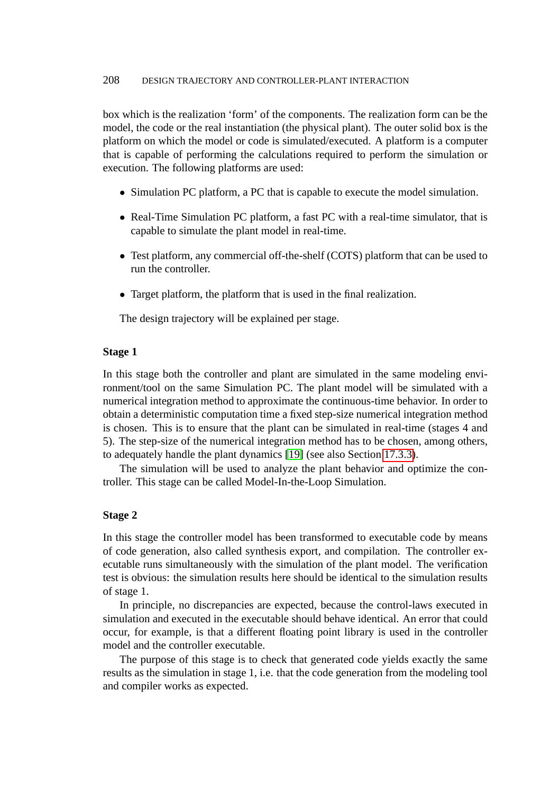box which is the realization 'form' of the components. The realization form can be the model, the code or the real instantiation (the physical plant). The outer solid box is the platform on which the model or code is simulated/executed. A platform is a computer that is capable of performing the calculations required to perform the simulation or execution. The following platforms are used:

- Simulation PC platform, a PC that is capable to execute the model simulation.
- Real-Time Simulation PC platform, a fast PC with a real-time simulator, that is capable to simulate the plant model in real-time.
- Test platform, any commercial off-the-shelf (COTS) platform that can be used to run the controller.
- Target platform, the platform that is used in the final realization.

The design trajectory will be explained per stage.

#### **Stage 1**

In this stage both the controller and plant are simulated in the same modeling environment/tool on the same Simulation PC. The plant model will be simulated with a numerical integration method to approximate the continuous-time behavior. In order to obtain a deterministic computation time a fixed step-size numerical integration method is chosen. This is to ensure that the plant can be simulated in real-time (stages 4 and 5). The step-size of the numerical integration method has to be chosen, among others, to adequately handle the plant dynamics [\[19\]](#page-15-0) (see also Section [17.3.3\)](#page-12-0).

The simulation will be used to analyze the plant behavior and optimize the controller. This stage can be called Model-In-the-Loop Simulation.

#### **Stage 2**

In this stage the controller model has been transformed to executable code by means of code generation, also called synthesis export, and compilation. The controller executable runs simultaneously with the simulation of the plant model. The verification test is obvious: the simulation results here should be identical to the simulation results of stage 1.

In principle, no discrepancies are expected, because the control-laws executed in simulation and executed in the executable should behave identical. An error that could occur, for example, is that a different floating point library is used in the controller model and the controller executable.

The purpose of this stage is to check that generated code yields exactly the same results as the simulation in stage 1, i.e. that the code generation from the modeling tool and compiler works as expected.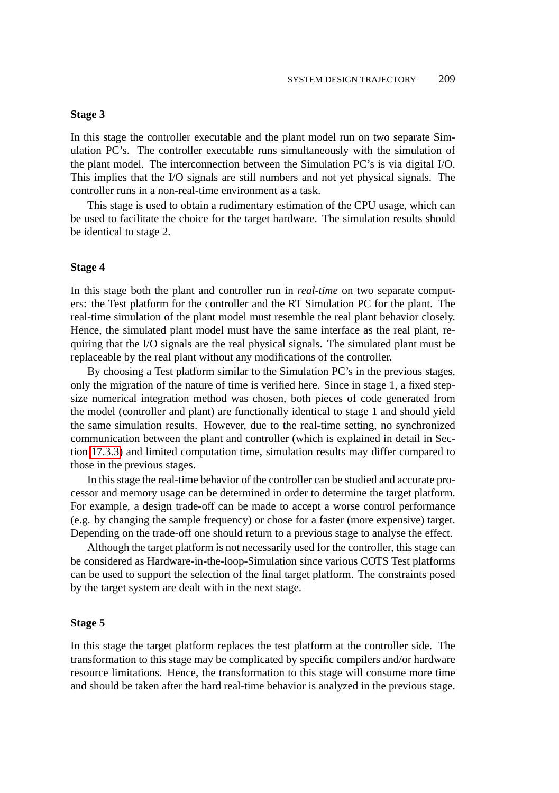#### **Stage 3**

In this stage the controller executable and the plant model run on two separate Simulation PC's. The controller executable runs simultaneously with the simulation of the plant model. The interconnection between the Simulation PC's is via digital I/O. This implies that the I/O signals are still numbers and not yet physical signals. The controller runs in a non-real-time environment as a task.

This stage is used to obtain a rudimentary estimation of the CPU usage, which can be used to facilitate the choice for the target hardware. The simulation results should be identical to stage 2.

#### **Stage 4**

In this stage both the plant and controller run in *real-time* on two separate computers: the Test platform for the controller and the RT Simulation PC for the plant. The real-time simulation of the plant model must resemble the real plant behavior closely. Hence, the simulated plant model must have the same interface as the real plant, requiring that the I/O signals are the real physical signals. The simulated plant must be replaceable by the real plant without any modifications of the controller.

By choosing a Test platform similar to the Simulation PC's in the previous stages, only the migration of the nature of time is verified here. Since in stage 1, a fixed stepsize numerical integration method was chosen, both pieces of code generated from the model (controller and plant) are functionally identical to stage 1 and should yield the same simulation results. However, due to the real-time setting, no synchronized communication between the plant and controller (which is explained in detail in Section [17.3.3\)](#page-12-0) and limited computation time, simulation results may differ compared to those in the previous stages.

In this stage the real-time behavior of the controller can be studied and accurate processor and memory usage can be determined in order to determine the target platform. For example, a design trade-off can be made to accept a worse control performance (e.g. by changing the sample frequency) or chose for a faster (more expensive) target. Depending on the trade-off one should return to a previous stage to analyse the effect.

Although the target platform is not necessarily used for the controller, this stage can be considered as Hardware-in-the-loop-Simulation since various COTS Test platforms can be used to support the selection of the final target platform. The constraints posed by the target system are dealt with in the next stage.

#### **Stage 5**

In this stage the target platform replaces the test platform at the controller side. The transformation to this stage may be complicated by specific compilers and/or hardware resource limitations. Hence, the transformation to this stage will consume more time and should be taken after the hard real-time behavior is analyzed in the previous stage.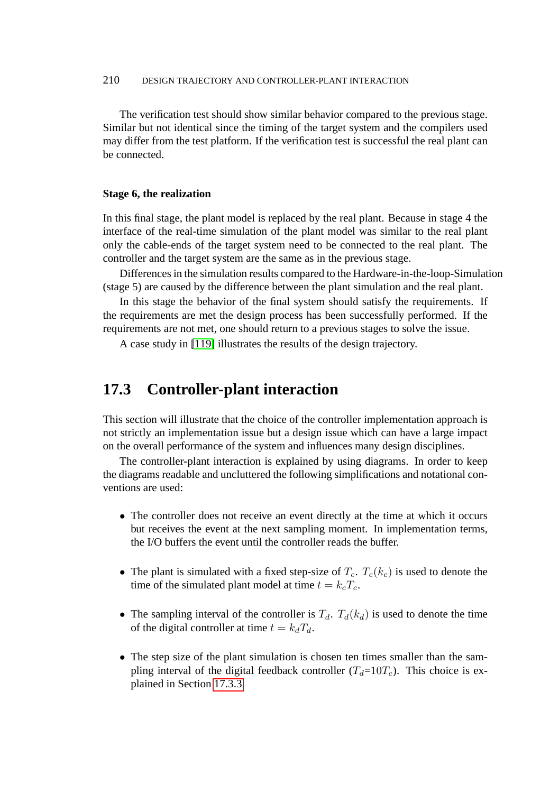The verification test should show similar behavior compared to the previous stage. Similar but not identical since the timing of the target system and the compilers used may differ from the test platform. If the verification test is successful the real plant can be connected.

#### **Stage 6, the realization**

In this final stage, the plant model is replaced by the real plant. Because in stage 4 the interface of the real-time simulation of the plant model was similar to the real plant only the cable-ends of the target system need to be connected to the real plant. The controller and the target system are the same as in the previous stage.

Differences in the simulation results compared to the Hardware-in-the-loop-Simulation (stage 5) are caused by the difference between the plant simulation and the real plant.

In this stage the behavior of the final system should satisfy the requirements. If the requirements are met the design process has been successfully performed. If the requirements are not met, one should return to a previous stages to solve the issue.

A case study in [\[119\]](#page-23-0) illustrates the results of the design trajectory.

### **17.3 Controller-plant interaction**

This section will illustrate that the choice of the controller implementation approach is not strictly an implementation issue but a design issue which can have a large impact on the overall performance of the system and influences many design disciplines.

The controller-plant interaction is explained by using diagrams. In order to keep the diagrams readable and uncluttered the following simplifications and notational conventions are used:

- The controller does not receive an event directly at the time at which it occurs but receives the event at the next sampling moment. In implementation terms, the I/O buffers the event until the controller reads the buffer.
- The plant is simulated with a fixed step-size of  $T_c$ .  $T_c(k_c)$  is used to denote the time of the simulated plant model at time  $t = k_cT_c$ .
- The sampling interval of the controller is  $T_d$ .  $T_d(k_d)$  is used to denote the time of the digital controller at time  $t = k_dT_d$ .
- The step size of the plant simulation is chosen ten times smaller than the sampling interval of the digital feedback controller  $(T_d=10T_c)$ . This choice is explained in Section [17.3.3.](#page-12-0)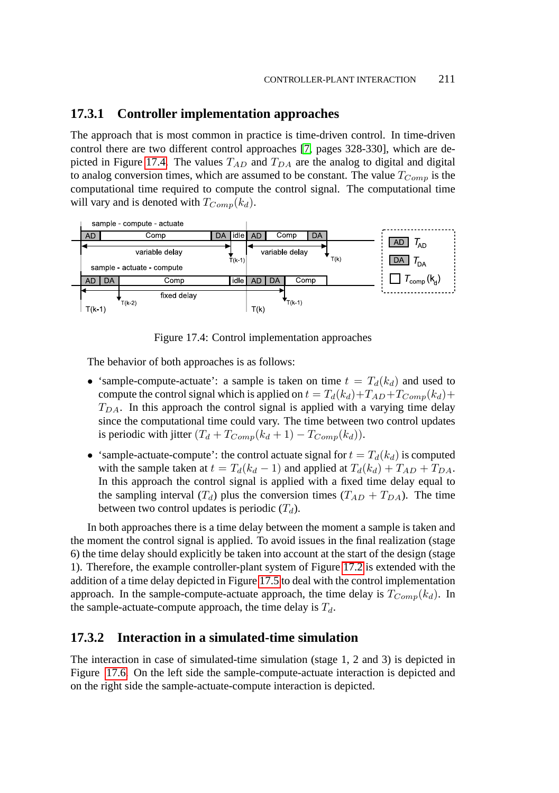#### **17.3.1 Controller implementation approaches**

The approach that is most common in practice is time-driven control. In time-driven control there are two different control approaches [\[7,](#page-14-0) pages 328-330], which are de-picted in Figure [17.4.](#page-10-0) The values  $T_{AD}$  and  $T_{DA}$  are the analog to digital and digital to analog conversion times, which are assumed to be constant. The value  $T_{Comm}$  is the computational time required to compute the control signal. The computational time will vary and is denoted with  $T_{Comp}(k_d)$ .



<span id="page-10-0"></span>Figure 17.4: Control implementation approaches

The behavior of both approaches is as follows:

- 'sample-compute-actuate': a sample is taken on time  $t = T_d(k_d)$  and used to compute the control signal which is applied on  $t = T_d(k_d) + T_{AD} + T_{Comp}(k_d) +$  $T_{DA}$ . In this approach the control signal is applied with a varying time delay since the computational time could vary. The time between two control updates is periodic with jitter  $(T_d + T_{Comp}(k_d + 1) - T_{Comp}(k_d))$ .
- 'sample-actuate-compute': the control actuate signal for  $t = T_d(k_d)$  is computed with the sample taken at  $t = T_d(k_d - 1)$  and applied at  $T_d(k_d) + T_{AD} + T_{DA}$ . In this approach the control signal is applied with a fixed time delay equal to the sampling interval  $(T_d)$  plus the conversion times  $(T_{AD} + T_{DA})$ . The time between two control updates is periodic  $(T_d)$ .

In both approaches there is a time delay between the moment a sample is taken and the moment the control signal is applied. To avoid issues in the final realization (stage 6) the time delay should explicitly be taken into account at the start of the design (stage 1). Therefore, the example controller-plant system of Figure [17.2](#page-5-0) is extended with the addition of a time delay depicted in Figure [17.5](#page-11-0) to deal with the control implementation approach. In the sample-compute-actuate approach, the time delay is  $T_{Comp}(k_d)$ . In the sample-actuate-compute approach, the time delay is  $T_d$ .

#### **17.3.2 Interaction in a simulated-time simulation**

The interaction in case of simulated-time simulation (stage 1, 2 and 3) is depicted in Figure [17.6.](#page-11-1) On the left side the sample-compute-actuate interaction is depicted and on the right side the sample-actuate-compute interaction is depicted.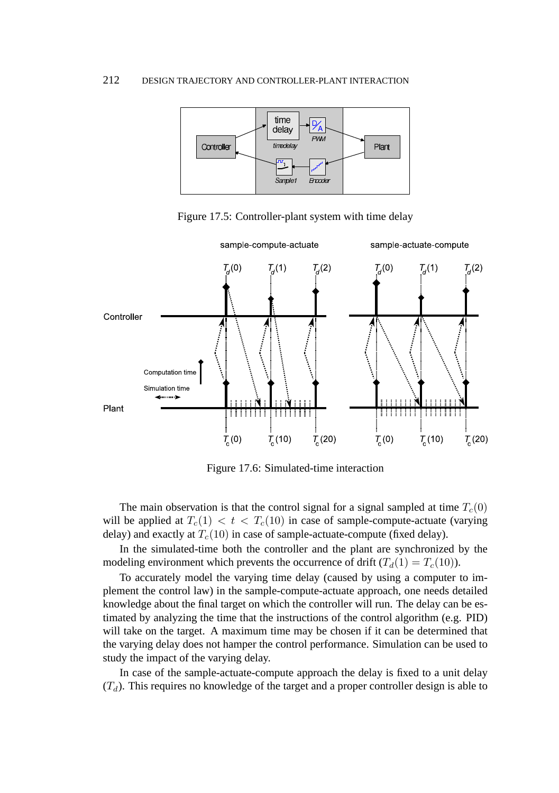

<span id="page-11-0"></span>Figure 17.5: Controller-plant system with time delay



<span id="page-11-1"></span>Figure 17.6: Simulated-time interaction

The main observation is that the control signal for a signal sampled at time  $T_c(0)$ will be applied at  $T_c(1) < t < T_c(10)$  in case of sample-compute-actuate (varying delay) and exactly at  $T_c(10)$  in case of sample-actuate-compute (fixed delay).

In the simulated-time both the controller and the plant are synchronized by the modeling environment which prevents the occurrence of drift  $(T_d(1) = T_c(10))$ .

To accurately model the varying time delay (caused by using a computer to implement the control law) in the sample-compute-actuate approach, one needs detailed knowledge about the final target on which the controller will run. The delay can be estimated by analyzing the time that the instructions of the control algorithm (e.g. PID) will take on the target. A maximum time may be chosen if it can be determined that the varying delay does not hamper the control performance. Simulation can be used to study the impact of the varying delay.

In case of the sample-actuate-compute approach the delay is fixed to a unit delay  $(T_d)$ . This requires no knowledge of the target and a proper controller design is able to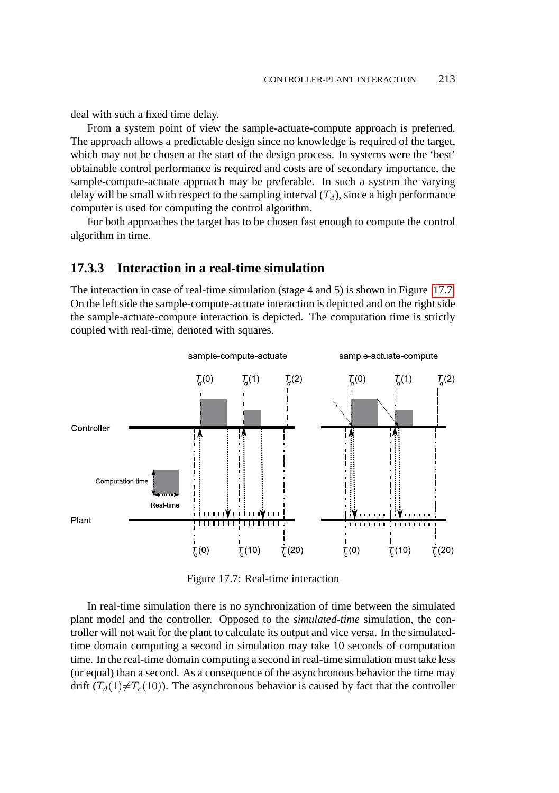deal with such a fixed time delay.

From a system point of view the sample-actuate-compute approach is preferred. The approach allows a predictable design since no knowledge is required of the target, which may not be chosen at the start of the design process. In systems were the 'best' obtainable control performance is required and costs are of secondary importance, the sample-compute-actuate approach may be preferable. In such a system the varying delay will be small with respect to the sampling interval  $(T_d)$ , since a high performance computer is used for computing the control algorithm.

For both approaches the target has to be chosen fast enough to compute the control algorithm in time.

#### <span id="page-12-0"></span>**17.3.3 Interaction in a real-time simulation**

The interaction in case of real-time simulation (stage 4 and 5) is shown in Figure [17.7.](#page-12-1) On the left side the sample-compute-actuate interaction is depicted and on the right side the sample-actuate-compute interaction is depicted. The computation time is strictly coupled with real-time, denoted with squares.



<span id="page-12-1"></span>Figure 17.7: Real-time interaction

In real-time simulation there is no synchronization of time between the simulated plant model and the controller. Opposed to the *simulated-time* simulation, the controller will not wait for the plant to calculate its output and vice versa. In the simulatedtime domain computing a second in simulation may take 10 seconds of computation time. In the real-time domain computing a second in real-time simulation must take less (or equal) than a second. As a consequence of the asynchronous behavior the time may drift  $(T_d(1)\neq T_c(10))$ . The asynchronous behavior is caused by fact that the controller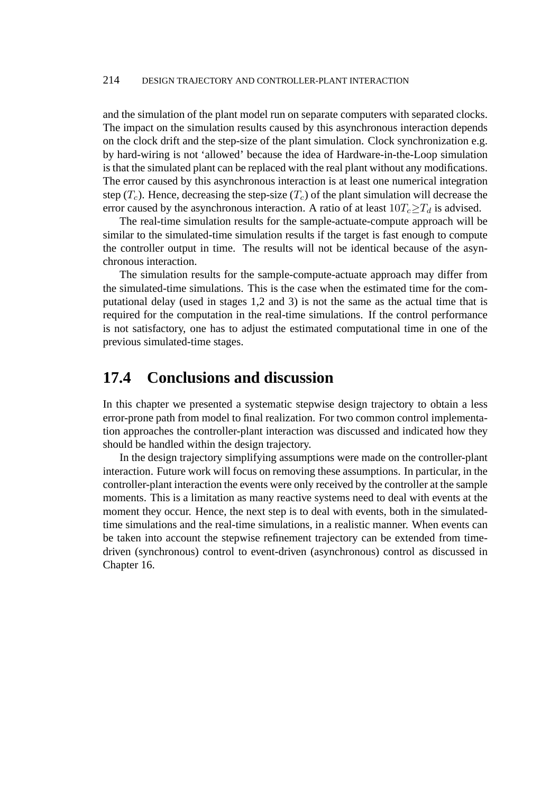and the simulation of the plant model run on separate computers with separated clocks. The impact on the simulation results caused by this asynchronous interaction depends on the clock drift and the step-size of the plant simulation. Clock synchronization e.g. by hard-wiring is not 'allowed' because the idea of Hardware-in-the-Loop simulation is that the simulated plant can be replaced with the real plant without any modifications. The error caused by this asynchronous interaction is at least one numerical integration step (T<sub>c</sub>). Hence, decreasing the step-size (T<sub>c</sub>) of the plant simulation will decrease the error caused by the asynchronous interaction. A ratio of at least  $10T_c \geq T_d$  is advised.

The real-time simulation results for the sample-actuate-compute approach will be similar to the simulated-time simulation results if the target is fast enough to compute the controller output in time. The results will not be identical because of the asynchronous interaction.

The simulation results for the sample-compute-actuate approach may differ from the simulated-time simulations. This is the case when the estimated time for the computational delay (used in stages 1,2 and 3) is not the same as the actual time that is required for the computation in the real-time simulations. If the control performance is not satisfactory, one has to adjust the estimated computational time in one of the previous simulated-time stages.

### **17.4 Conclusions and discussion**

In this chapter we presented a systematic stepwise design trajectory to obtain a less error-prone path from model to final realization. For two common control implementation approaches the controller-plant interaction was discussed and indicated how they should be handled within the design trajectory.

In the design trajectory simplifying assumptions were made on the controller-plant interaction. Future work will focus on removing these assumptions. In particular, in the controller-plant interaction the events were only received by the controller at the sample moments. This is a limitation as many reactive systems need to deal with events at the moment they occur. Hence, the next step is to deal with events, both in the simulatedtime simulations and the real-time simulations, in a realistic manner. When events can be taken into account the stepwise refinement trajectory can be extended from timedriven (synchronous) control to event-driven (asynchronous) control as discussed in Chapter 16.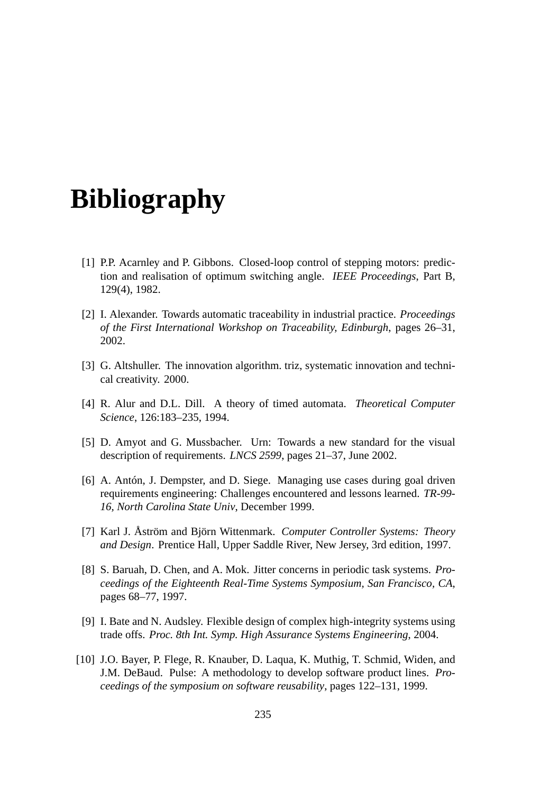# **Bibliography**

- [1] P.P. Acarnley and P. Gibbons. Closed-loop control of stepping motors: prediction and realisation of optimum switching angle. *IEEE Proceedings*, Part B, 129(4), 1982.
- [2] I. Alexander. Towards automatic traceability in industrial practice. *Proceedings of the First International Workshop on Traceability, Edinburgh*, pages 26–31, 2002.
- [3] G. Altshuller. The innovation algorithm. triz, systematic innovation and technical creativity. 2000.
- [4] R. Alur and D.L. Dill. A theory of timed automata. *Theoretical Computer Science*, 126:183–235, 1994.
- [5] D. Amyot and G. Mussbacher. Urn: Towards a new standard for the visual description of requirements. *LNCS 2599*, pages 21–37, June 2002.
- [6] A. Antón, J. Dempster, and D. Siege. Managing use cases during goal driven requirements engineering: Challenges encountered and lessons learned. *TR-99- 16, North Carolina State Univ*, December 1999.
- <span id="page-14-0"></span>[7] Karl J. Åström and Björn Wittenmark. *Computer Controller Systems: Theory and Design*. Prentice Hall, Upper Saddle River, New Jersey, 3rd edition, 1997.
- [8] S. Baruah, D. Chen, and A. Mok. Jitter concerns in periodic task systems. *Proceedings of the Eighteenth Real-Time Systems Symposium, San Francisco, CA*, pages 68–77, 1997.
- [9] I. Bate and N. Audsley. Flexible design of complex high-integrity systems using trade offs. *Proc. 8th Int. Symp. High Assurance Systems Engineering*, 2004.
- [10] J.O. Bayer, P. Flege, R. Knauber, D. Laqua, K. Muthig, T. Schmid, Widen, and J.M. DeBaud. Pulse: A methodology to develop software product lines. *Proceedings of the symposium on software reusability*, pages 122–131, 1999.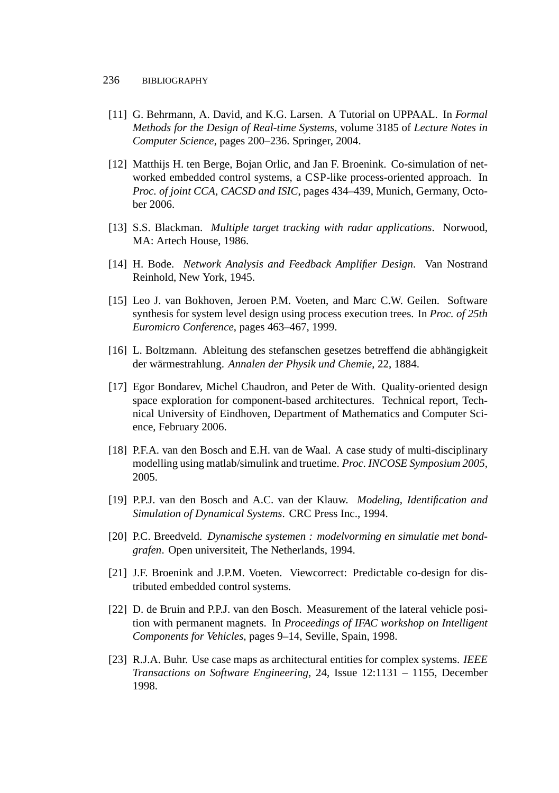- [11] G. Behrmann, A. David, and K.G. Larsen. A Tutorial on UPPAAL. In *Formal Methods for the Design of Real-time Systems*, volume 3185 of *Lecture Notes in Computer Science*, pages 200–236. Springer, 2004.
- [12] Matthijs H. ten Berge, Bojan Orlic, and Jan F. Broenink. Co-simulation of networked embedded control systems, a CSP-like process-oriented approach. In *Proc. of joint CCA, CACSD and ISIC*, pages 434–439, Munich, Germany, October 2006.
- [13] S.S. Blackman. *Multiple target tracking with radar applications*. Norwood, MA: Artech House, 1986.
- [14] H. Bode. *Network Analysis and Feedback Amplifier Design*. Van Nostrand Reinhold, New York, 1945.
- [15] Leo J. van Bokhoven, Jeroen P.M. Voeten, and Marc C.W. Geilen. Software synthesis for system level design using process execution trees. In *Proc. of 25th Euromicro Conference*, pages 463–467, 1999.
- [16] L. Boltzmann. Ableitung des stefanschen gesetzes betreffend die abhängigkeit der wärmestrahlung. *Annalen der Physik und Chemie*, 22, 1884.
- [17] Egor Bondarev, Michel Chaudron, and Peter de With. Quality-oriented design space exploration for component-based architectures. Technical report, Technical University of Eindhoven, Department of Mathematics and Computer Science, February 2006.
- [18] P.F.A. van den Bosch and E.H. van de Waal. A case study of multi-disciplinary modelling using matlab/simulink and truetime. *Proc. INCOSE Symposium 2005*, 2005.
- <span id="page-15-0"></span>[19] P.P.J. van den Bosch and A.C. van der Klauw. *Modeling, Identification and Simulation of Dynamical Systems*. CRC Press Inc., 1994.
- [20] P.C. Breedveld. *Dynamische systemen : modelvorming en simulatie met bondgrafen*. Open universiteit, The Netherlands, 1994.
- [21] J.F. Broenink and J.P.M. Voeten. Viewcorrect: Predictable co-design for distributed embedded control systems.
- [22] D. de Bruin and P.P.J. van den Bosch. Measurement of the lateral vehicle position with permanent magnets. In *Proceedings of IFAC workshop on Intelligent Components for Vehicles*, pages 9–14, Seville, Spain, 1998.
- [23] R.J.A. Buhr. Use case maps as architectural entities for complex systems. *IEEE Transactions on Software Engineering*, 24, Issue 12:1131 – 1155, December 1998.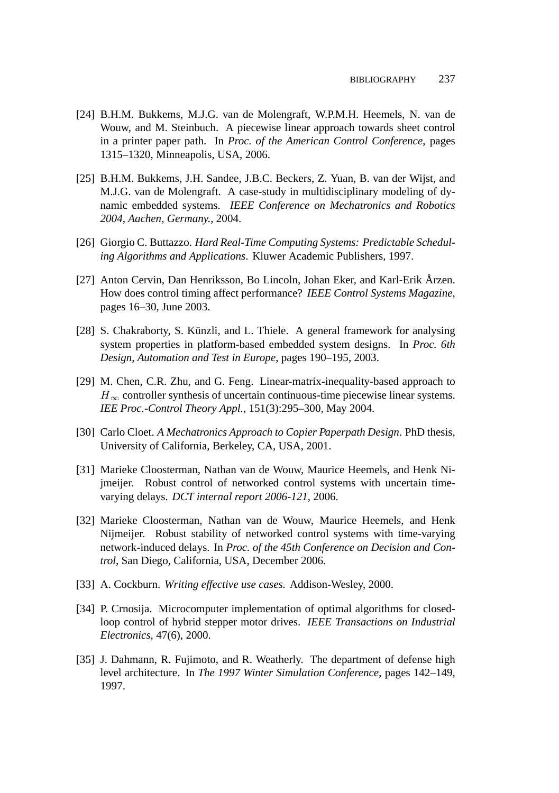- [24] B.H.M. Bukkems, M.J.G. van de Molengraft, W.P.M.H. Heemels, N. van de Wouw, and M. Steinbuch. A piecewise linear approach towards sheet control in a printer paper path. In *Proc. of the American Control Conference*, pages 1315–1320, Minneapolis, USA, 2006.
- [25] B.H.M. Bukkems, J.H. Sandee, J.B.C. Beckers, Z. Yuan, B. van der Wijst, and M.J.G. van de Molengraft. A case-study in multidisciplinary modeling of dynamic embedded systems. *IEEE Conference on Mechatronics and Robotics 2004, Aachen, Germany.*, 2004.
- [26] Giorgio C. Buttazzo. *Hard Real-Time Computing Systems: Predictable Scheduling Algorithms and Applications*. Kluwer Academic Publishers, 1997.
- [27] Anton Cervin, Dan Henriksson, Bo Lincoln, Johan Eker, and Karl-Erik Årzen. How does control timing affect performance? *IEEE Control Systems Magazine*, pages 16–30, June 2003.
- [28] S. Chakraborty, S. Künzli, and L. Thiele. A general framework for analysing system properties in platform-based embedded system designs. In *Proc. 6th Design, Automation and Test in Europe*, pages 190–195, 2003.
- [29] M. Chen, C.R. Zhu, and G. Feng. Linear-matrix-inequality-based approach to  $H_{\infty}$  controller synthesis of uncertain continuous-time piecewise linear systems. *IEE Proc.-Control Theory Appl.*, 151(3):295–300, May 2004.
- [30] Carlo Cloet. *A Mechatronics Approach to Copier Paperpath Design*. PhD thesis, University of California, Berkeley, CA, USA, 2001.
- [31] Marieke Cloosterman, Nathan van de Wouw, Maurice Heemels, and Henk Nijmeijer. Robust control of networked control systems with uncertain timevarying delays. *DCT internal report 2006-121*, 2006.
- [32] Marieke Cloosterman, Nathan van de Wouw, Maurice Heemels, and Henk Nijmeijer. Robust stability of networked control systems with time-varying network-induced delays. In *Proc. of the 45th Conference on Decision and Control*, San Diego, California, USA, December 2006.
- [33] A. Cockburn. *Writing effective use cases.* Addison-Wesley, 2000.
- [34] P. Crnosija. Microcomputer implementation of optimal algorithms for closedloop control of hybrid stepper motor drives. *IEEE Transactions on Industrial Electronics*, 47(6), 2000.
- [35] J. Dahmann, R. Fujimoto, and R. Weatherly. The department of defense high level architecture. In *The 1997 Winter Simulation Conference*, pages 142–149, 1997.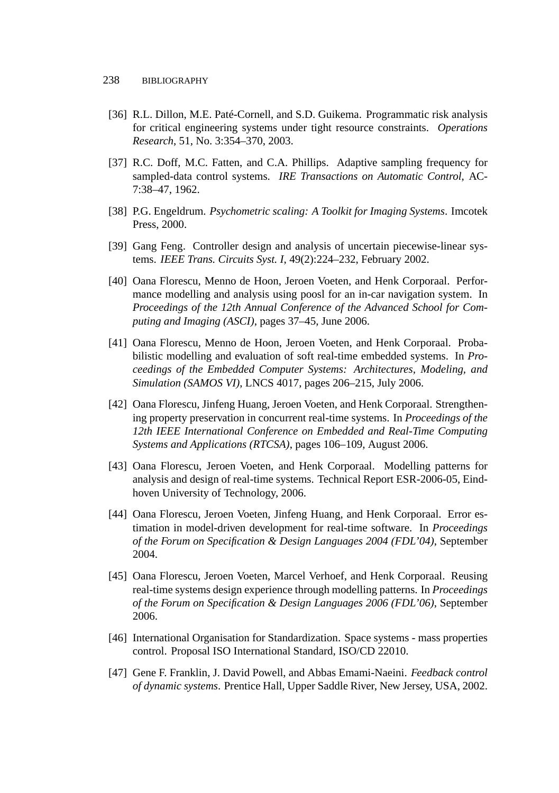- [36] R.L. Dillon, M.E. Paté-Cornell, and S.D. Guikema. Programmatic risk analysis for critical engineering systems under tight resource constraints. *Operations Research*, 51, No. 3:354–370, 2003.
- [37] R.C. Doff, M.C. Fatten, and C.A. Phillips. Adaptive sampling frequency for sampled-data control systems. *IRE Transactions on Automatic Control*, AC-7:38–47, 1962.
- [38] P.G. Engeldrum. *Psychometric scaling: A Toolkit for Imaging Systems*. Imcotek Press, 2000.
- [39] Gang Feng. Controller design and analysis of uncertain piecewise-linear systems. *IEEE Trans. Circuits Syst. I*, 49(2):224–232, February 2002.
- [40] Oana Florescu, Menno de Hoon, Jeroen Voeten, and Henk Corporaal. Performance modelling and analysis using poosl for an in-car navigation system. In *Proceedings of the 12th Annual Conference of the Advanced School for Computing and Imaging (ASCI)*, pages 37–45, June 2006.
- [41] Oana Florescu, Menno de Hoon, Jeroen Voeten, and Henk Corporaal. Probabilistic modelling and evaluation of soft real-time embedded systems. In *Proceedings of the Embedded Computer Systems: Architectures, Modeling, and Simulation (SAMOS VI)*, LNCS 4017, pages 206–215, July 2006.
- [42] Oana Florescu, Jinfeng Huang, Jeroen Voeten, and Henk Corporaal. Strengthening property preservation in concurrent real-time systems. In *Proceedings of the 12th IEEE International Conference on Embedded and Real-Time Computing Systems and Applications (RTCSA)*, pages 106–109, August 2006.
- [43] Oana Florescu, Jeroen Voeten, and Henk Corporaal. Modelling patterns for analysis and design of real-time systems. Technical Report ESR-2006-05, Eindhoven University of Technology, 2006.
- [44] Oana Florescu, Jeroen Voeten, Jinfeng Huang, and Henk Corporaal. Error estimation in model-driven development for real-time software. In *Proceedings of the Forum on Specification & Design Languages 2004 (FDL'04)*, September 2004.
- [45] Oana Florescu, Jeroen Voeten, Marcel Verhoef, and Henk Corporaal. Reusing real-time systems design experience through modelling patterns. In *Proceedings of the Forum on Specification & Design Languages 2006 (FDL'06)*, September 2006.
- [46] International Organisation for Standardization. Space systems mass properties control. Proposal ISO International Standard, ISO/CD 22010.
- [47] Gene F. Franklin, J. David Powell, and Abbas Emami-Naeini. *Feedback control of dynamic systems*. Prentice Hall, Upper Saddle River, New Jersey, USA, 2002.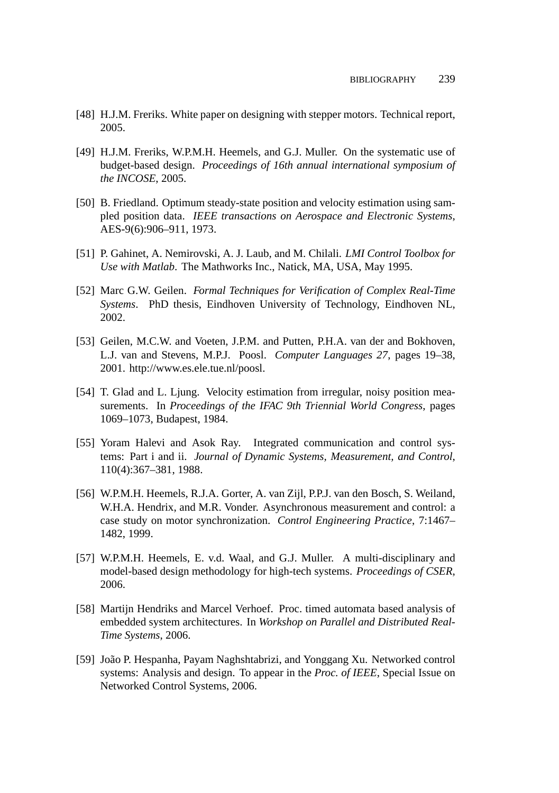- [48] H.J.M. Freriks. White paper on designing with stepper motors. Technical report, 2005.
- [49] H.J.M. Freriks, W.P.M.H. Heemels, and G.J. Muller. On the systematic use of budget-based design. *Proceedings of 16th annual international symposium of the INCOSE*, 2005.
- [50] B. Friedland. Optimum steady-state position and velocity estimation using sampled position data. *IEEE transactions on Aerospace and Electronic Systems*, AES-9(6):906–911, 1973.
- [51] P. Gahinet, A. Nemirovski, A. J. Laub, and M. Chilali. *LMI Control Toolbox for Use with Matlab*. The Mathworks Inc., Natick, MA, USA, May 1995.
- [52] Marc G.W. Geilen. *Formal Techniques for Verification of Complex Real-Time Systems*. PhD thesis, Eindhoven University of Technology, Eindhoven NL, 2002.
- [53] Geilen, M.C.W. and Voeten, J.P.M. and Putten, P.H.A. van der and Bokhoven, L.J. van and Stevens, M.P.J. Poosl. *Computer Languages 27*, pages 19–38, 2001. http://www.es.ele.tue.nl/poosl.
- [54] T. Glad and L. Ljung. Velocity estimation from irregular, noisy position measurements. In *Proceedings of the IFAC 9th Triennial World Congress*, pages 1069–1073, Budapest, 1984.
- [55] Yoram Halevi and Asok Ray. Integrated communication and control systems: Part i and ii. *Journal of Dynamic Systems, Measurement, and Control*, 110(4):367–381, 1988.
- [56] W.P.M.H. Heemels, R.J.A. Gorter, A. van Zijl, P.P.J. van den Bosch, S. Weiland, W.H.A. Hendrix, and M.R. Vonder. Asynchronous measurement and control: a case study on motor synchronization. *Control Engineering Practice*, 7:1467– 1482, 1999.
- [57] W.P.M.H. Heemels, E. v.d. Waal, and G.J. Muller. A multi-disciplinary and model-based design methodology for high-tech systems. *Proceedings of CSER*, 2006.
- [58] Martijn Hendriks and Marcel Verhoef. Proc. timed automata based analysis of embedded system architectures. In *Workshop on Parallel and Distributed Real-Time Systems*, 2006.
- [59] João P. Hespanha, Payam Naghshtabrizi, and Yonggang Xu. Networked control systems: Analysis and design. To appear in the *Proc. of IEEE*, Special Issue on Networked Control Systems, 2006.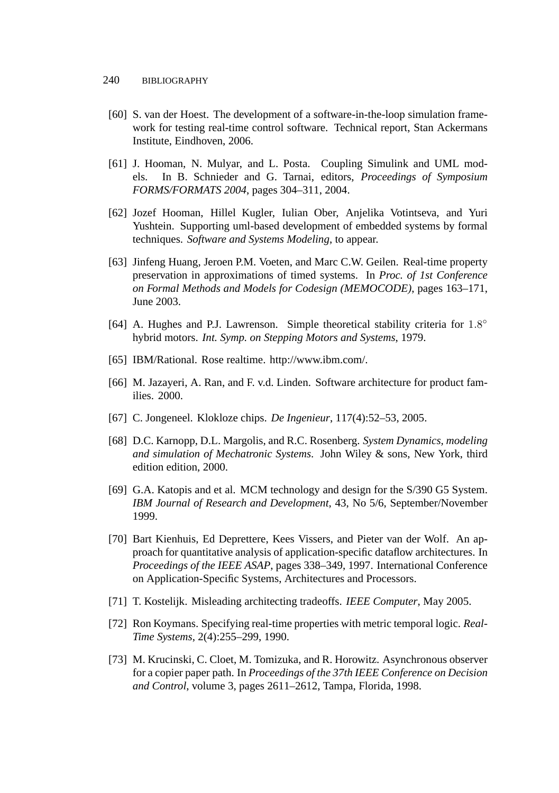- [60] S. van der Hoest. The development of a software-in-the-loop simulation framework for testing real-time control software. Technical report, Stan Ackermans Institute, Eindhoven, 2006.
- [61] J. Hooman, N. Mulyar, and L. Posta. Coupling Simulink and UML models. In B. Schnieder and G. Tarnai, editors, *Proceedings of Symposium FORMS/FORMATS 2004*, pages 304–311, 2004.
- [62] Jozef Hooman, Hillel Kugler, Iulian Ober, Anjelika Votintseva, and Yuri Yushtein. Supporting uml-based development of embedded systems by formal techniques. *Software and Systems Modeling*, to appear.
- [63] Jinfeng Huang, Jeroen P.M. Voeten, and Marc C.W. Geilen. Real-time property preservation in approximations of timed systems. In *Proc. of 1st Conference on Formal Methods and Models for Codesign (MEMOCODE)*, pages 163–171, June 2003.
- [64] A. Hughes and P.J. Lawrenson. Simple theoretical stability criteria for 1.8° hybrid motors. *Int. Symp. on Stepping Motors and Systems*, 1979.
- [65] IBM/Rational. Rose realtime. http://www.ibm.com/.
- [66] M. Jazayeri, A. Ran, and F. v.d. Linden. Software architecture for product families. 2000.
- [67] C. Jongeneel. Klokloze chips. *De Ingenieur*, 117(4):52–53, 2005.
- [68] D.C. Karnopp, D.L. Margolis, and R.C. Rosenberg. *System Dynamics, modeling and simulation of Mechatronic Systems*. John Wiley & sons, New York, third edition edition, 2000.
- [69] G.A. Katopis and et al. MCM technology and design for the S/390 G5 System. *IBM Journal of Research and Development*, 43, No 5/6, September/November 1999.
- [70] Bart Kienhuis, Ed Deprettere, Kees Vissers, and Pieter van der Wolf. An approach for quantitative analysis of application-specific dataflow architectures. In *Proceedings of the IEEE ASAP*, pages 338–349, 1997. International Conference on Application-Specific Systems, Architectures and Processors.
- [71] T. Kostelijk. Misleading architecting tradeoffs. *IEEE Computer*, May 2005.
- [72] Ron Koymans. Specifying real-time properties with metric temporal logic. *Real-Time Systems*, 2(4):255–299, 1990.
- [73] M. Krucinski, C. Cloet, M. Tomizuka, and R. Horowitz. Asynchronous observer for a copier paper path. In *Proceedings of the 37th IEEE Conference on Decision and Control*, volume 3, pages 2611–2612, Tampa, Florida, 1998.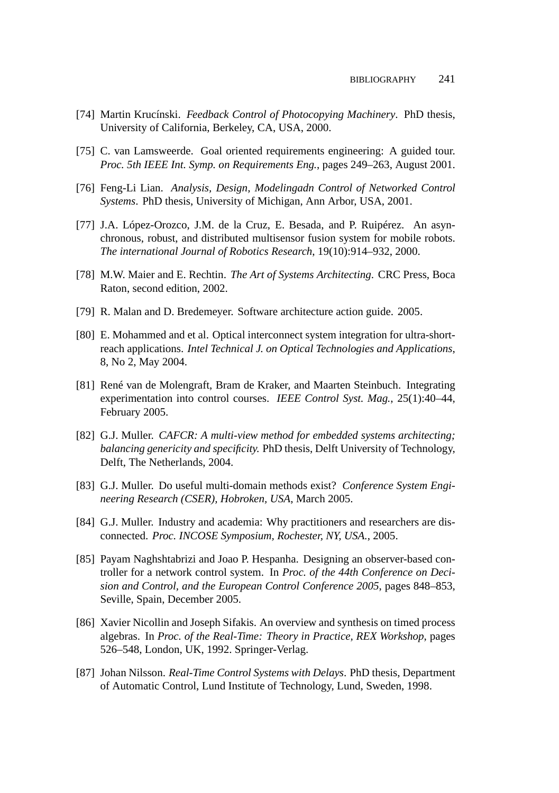- [74] Martin Krucínski. *Feedback Control of Photocopying Machinery*. PhD thesis, University of California, Berkeley, CA, USA, 2000.
- [75] C. van Lamsweerde. Goal oriented requirements engineering: A guided tour. *Proc. 5th IEEE Int. Symp. on Requirements Eng.*, pages 249–263, August 2001.
- [76] Feng-Li Lian. *Analysis, Design, Modelingadn Control of Networked Control Systems*. PhD thesis, University of Michigan, Ann Arbor, USA, 2001.
- [77] J.A. López-Orozco, J.M. de la Cruz, E. Besada, and P. Ruipérez. An asynchronous, robust, and distributed multisensor fusion system for mobile robots. *The international Journal of Robotics Research*, 19(10):914–932, 2000.
- [78] M.W. Maier and E. Rechtin. *The Art of Systems Architecting*. CRC Press, Boca Raton, second edition, 2002.
- [79] R. Malan and D. Bredemeyer. Software architecture action guide. 2005.
- [80] E. Mohammed and et al. Optical interconnect system integration for ultra-shortreach applications. *Intel Technical J. on Optical Technologies and Applications*, 8, No 2, May 2004.
- [81] René van de Molengraft, Bram de Kraker, and Maarten Steinbuch. Integrating experimentation into control courses. *IEEE Control Syst. Mag.*, 25(1):40–44, February 2005.
- [82] G.J. Muller. *CAFCR: A multi-view method for embedded systems architecting; balancing genericity and specificity.* PhD thesis, Delft University of Technology, Delft, The Netherlands, 2004.
- [83] G.J. Muller. Do useful multi-domain methods exist? *Conference System Engineering Research (CSER), Hobroken, USA*, March 2005.
- [84] G.J. Muller. Industry and academia: Why practitioners and researchers are disconnected. *Proc. INCOSE Symposium, Rochester, NY, USA.*, 2005.
- [85] Payam Naghshtabrizi and Joao P. Hespanha. Designing an observer-based controller for a network control system. In *Proc. of the 44th Conference on Decision and Control, and the European Control Conference 2005*, pages 848–853, Seville, Spain, December 2005.
- [86] Xavier Nicollin and Joseph Sifakis. An overview and synthesis on timed process algebras. In *Proc. of the Real-Time: Theory in Practice, REX Workshop*, pages 526–548, London, UK, 1992. Springer-Verlag.
- [87] Johan Nilsson. *Real-Time Control Systems with Delays*. PhD thesis, Department of Automatic Control, Lund Institute of Technology, Lund, Sweden, 1998.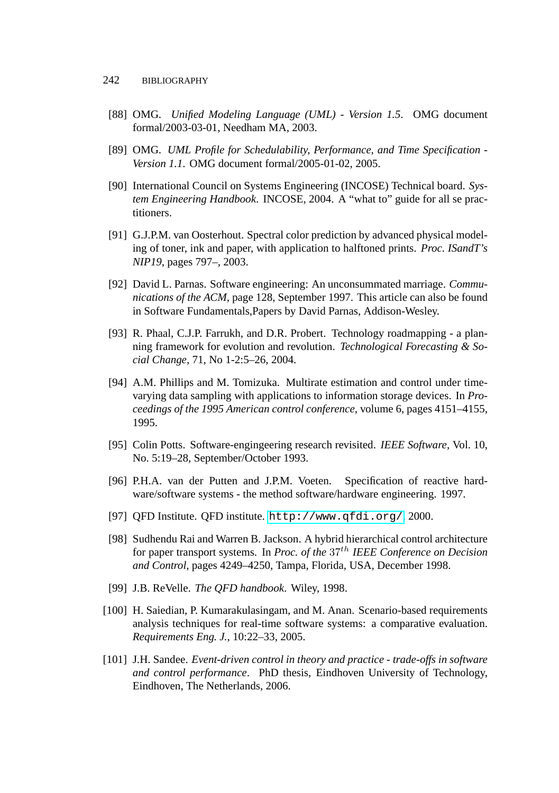#### 242 BIBLIOGRAPHY

- [88] OMG. *Unified Modeling Language (UML) Version 1.5*. OMG document formal/2003-03-01, Needham MA, 2003.
- [89] OMG. *UML Profile for Schedulability, Performance, and Time Specification - Version 1.1*. OMG document formal/2005-01-02, 2005.
- [90] International Council on Systems Engineering (INCOSE) Technical board. *System Engineering Handbook*. INCOSE, 2004. A "what to" guide for all se practitioners.
- [91] G.J.P.M. van Oosterhout. Spectral color prediction by advanced physical modeling of toner, ink and paper, with application to halftoned prints. *Proc. ISandT's NIP19*, pages 797–, 2003.
- [92] David L. Parnas. Software engineering: An unconsummated marriage. *Communications of the ACM*, page 128, September 1997. This article can also be found in Software Fundamentals,Papers by David Parnas, Addison-Wesley.
- [93] R. Phaal, C.J.P. Farrukh, and D.R. Probert. Technology roadmapping a planning framework for evolution and revolution. *Technological Forecasting & Social Change*, 71, No 1-2:5–26, 2004.
- [94] A.M. Phillips and M. Tomizuka. Multirate estimation and control under timevarying data sampling with applications to information storage devices. In *Proceedings of the 1995 American control conference*, volume 6, pages 4151–4155, 1995.
- [95] Colin Potts. Software-engingeering research revisited. *IEEE Software*, Vol. 10, No. 5:19–28, September/October 1993.
- [96] P.H.A. van der Putten and J.P.M. Voeten. Specification of reactive hardware/software systems - the method software/hardware engineering. 1997.
- [97] QFD Institute. QFD institute. <http://www.qfdi.org/>, 2000.
- [98] Sudhendu Rai and Warren B. Jackson. A hybrid hierarchical control architecture for paper transport systems. In *Proc. of the* 37th *IEEE Conference on Decision and Control*, pages 4249–4250, Tampa, Florida, USA, December 1998.
- [99] J.B. ReVelle. *The QFD handbook*. Wiley, 1998.
- [100] H. Saiedian, P. Kumarakulasingam, and M. Anan. Scenario-based requirements analysis techniques for real-time software systems: a comparative evaluation. *Requirements Eng. J.*, 10:22–33, 2005.
- [101] J.H. Sandee. *Event-driven control in theory and practice trade-offs in software and control performance*. PhD thesis, Eindhoven University of Technology, Eindhoven, The Netherlands, 2006.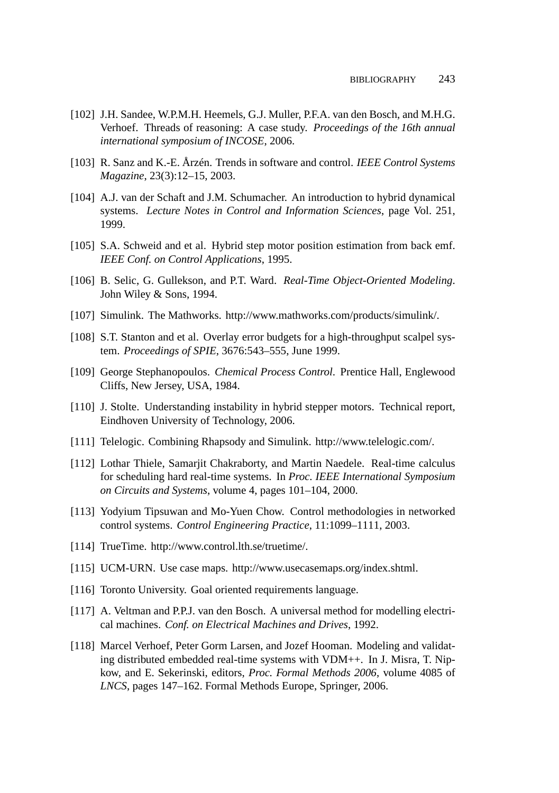- [102] J.H. Sandee, W.P.M.H. Heemels, G.J. Muller, P.F.A. van den Bosch, and M.H.G. Verhoef. Threads of reasoning: A case study. *Proceedings of the 16th annual international symposium of INCOSE*, 2006.
- [103] R. Sanz and K.-E. Årzén. Trends in software and control. *IEEE Control Systems Magazine*, 23(3):12–15, 2003.
- [104] A.J. van der Schaft and J.M. Schumacher. An introduction to hybrid dynamical systems. *Lecture Notes in Control and Information Sciences*, page Vol. 251, 1999.
- [105] S.A. Schweid and et al. Hybrid step motor position estimation from back emf. *IEEE Conf. on Control Applications*, 1995.
- [106] B. Selic, G. Gullekson, and P.T. Ward. *Real-Time Object-Oriented Modeling*. John Wiley & Sons, 1994.
- [107] Simulink. The Mathworks. http://www.mathworks.com/products/simulink/.
- [108] S.T. Stanton and et al. Overlay error budgets for a high-throughput scalpel system. *Proceedings of SPIE*, 3676:543–555, June 1999.
- [109] George Stephanopoulos. *Chemical Process Control*. Prentice Hall, Englewood Cliffs, New Jersey, USA, 1984.
- [110] J. Stolte. Understanding instability in hybrid stepper motors. Technical report, Eindhoven University of Technology, 2006.
- [111] Telelogic. Combining Rhapsody and Simulink. http://www.telelogic.com/.
- [112] Lothar Thiele, Samarjit Chakraborty, and Martin Naedele. Real-time calculus for scheduling hard real-time systems. In *Proc. IEEE International Symposium on Circuits and Systems*, volume 4, pages 101–104, 2000.
- [113] Yodyium Tipsuwan and Mo-Yuen Chow. Control methodologies in networked control systems. *Control Engineering Practice*, 11:1099–1111, 2003.
- [114] TrueTime. http://www.control.lth.se/truetime/.
- [115] UCM-URN. Use case maps. http://www.usecasemaps.org/index.shtml.
- [116] Toronto University. Goal oriented requirements language.
- [117] A. Veltman and P.P.J. van den Bosch. A universal method for modelling electrical machines. *Conf. on Electrical Machines and Drives*, 1992.
- [118] Marcel Verhoef, Peter Gorm Larsen, and Jozef Hooman. Modeling and validating distributed embedded real-time systems with VDM++. In J. Misra, T. Nipkow, and E. Sekerinski, editors, *Proc. Formal Methods 2006*, volume 4085 of *LNCS*, pages 147–162. Formal Methods Europe, Springer, 2006.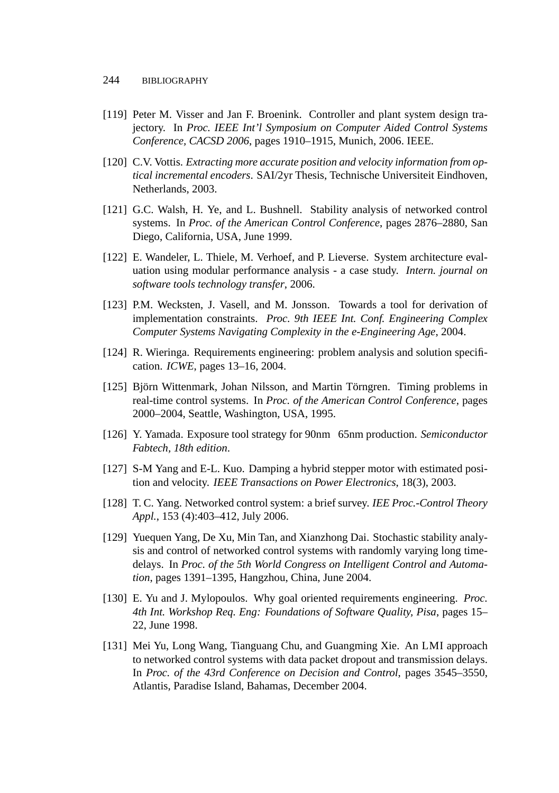- <span id="page-23-0"></span>[119] Peter M. Visser and Jan F. Broenink. Controller and plant system design trajectory. In *Proc. IEEE Int'l Symposium on Computer Aided Control Systems Conference, CACSD 2006*, pages 1910–1915, Munich, 2006. IEEE.
- [120] C.V. Vottis. *Extracting more accurate position and velocity information from optical incremental encoders*. SAI/2yr Thesis, Technische Universiteit Eindhoven, Netherlands, 2003.
- [121] G.C. Walsh, H. Ye, and L. Bushnell. Stability analysis of networked control systems. In *Proc. of the American Control Conference*, pages 2876–2880, San Diego, California, USA, June 1999.
- [122] E. Wandeler, L. Thiele, M. Verhoef, and P. Lieverse. System architecture evaluation using modular performance analysis - a case study. *Intern. journal on software tools technology transfer*, 2006.
- [123] P.M. Wecksten, J. Vasell, and M. Jonsson. Towards a tool for derivation of implementation constraints. *Proc. 9th IEEE Int. Conf. Engineering Complex Computer Systems Navigating Complexity in the e-Engineering Age*, 2004.
- [124] R. Wieringa. Requirements engineering: problem analysis and solution specification. *ICWE*, pages 13–16, 2004.
- [125] Björn Wittenmark, Johan Nilsson, and Martin Törngren. Timing problems in real-time control systems. In *Proc. of the American Control Conference*, pages 2000–2004, Seattle, Washington, USA, 1995.
- [126] Y. Yamada. Exposure tool strategy for 90nm 65nm production. *Semiconductor Fabtech, 18th edition*.
- [127] S-M Yang and E-L. Kuo. Damping a hybrid stepper motor with estimated position and velocity. *IEEE Transactions on Power Electronics*, 18(3), 2003.
- [128] T. C. Yang. Networked control system: a brief survey. *IEE Proc.-Control Theory Appl.*, 153 (4):403–412, July 2006.
- [129] Yuequen Yang, De Xu, Min Tan, and Xianzhong Dai. Stochastic stability analysis and control of networked control systems with randomly varying long timedelays. In *Proc. of the 5th World Congress on Intelligent Control and Automation*, pages 1391–1395, Hangzhou, China, June 2004.
- [130] E. Yu and J. Mylopoulos. Why goal oriented requirements engineering. *Proc. 4th Int. Workshop Req. Eng: Foundations of Software Quality, Pisa*, pages 15– 22, June 1998.
- [131] Mei Yu, Long Wang, Tianguang Chu, and Guangming Xie. An LMI approach to networked control systems with data packet dropout and transmission delays. In *Proc. of the 43rd Conference on Decision and Control*, pages 3545–3550, Atlantis, Paradise Island, Bahamas, December 2004.